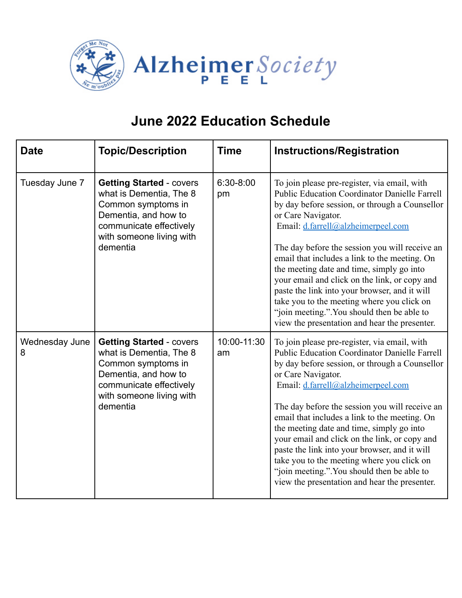

| <b>Date</b>         | <b>Topic/Description</b>                                                                                                                                                    | <b>Time</b>       | <b>Instructions/Registration</b>                                                                                                                                                                                                                                                                                                                                                                                                                                                                                                                                                                                   |
|---------------------|-----------------------------------------------------------------------------------------------------------------------------------------------------------------------------|-------------------|--------------------------------------------------------------------------------------------------------------------------------------------------------------------------------------------------------------------------------------------------------------------------------------------------------------------------------------------------------------------------------------------------------------------------------------------------------------------------------------------------------------------------------------------------------------------------------------------------------------------|
| Tuesday June 7      | <b>Getting Started - covers</b><br>what is Dementia, The 8<br>Common symptoms in<br>Dementia, and how to<br>communicate effectively<br>with someone living with<br>dementia | 6:30-8:00<br>pm   | To join please pre-register, via email, with<br><b>Public Education Coordinator Danielle Farrell</b><br>by day before session, or through a Counsellor<br>or Care Navigator.<br>Email: d.farrell@alzheimerpeel.com<br>The day before the session you will receive an<br>email that includes a link to the meeting. On<br>the meeting date and time, simply go into<br>your email and click on the link, or copy and<br>paste the link into your browser, and it will<br>take you to the meeting where you click on<br>"join meeting.". You should then be able to<br>view the presentation and hear the presenter. |
| Wednesday June<br>8 | <b>Getting Started - covers</b><br>what is Dementia, The 8<br>Common symptoms in<br>Dementia, and how to<br>communicate effectively<br>with someone living with<br>dementia | 10:00-11:30<br>am | To join please pre-register, via email, with<br><b>Public Education Coordinator Danielle Farrell</b><br>by day before session, or through a Counsellor<br>or Care Navigator.<br>Email: d.farrell@alzheimerpeel.com<br>The day before the session you will receive an<br>email that includes a link to the meeting. On<br>the meeting date and time, simply go into<br>your email and click on the link, or copy and<br>paste the link into your browser, and it will<br>take you to the meeting where you click on<br>"join meeting.". You should then be able to<br>view the presentation and hear the presenter. |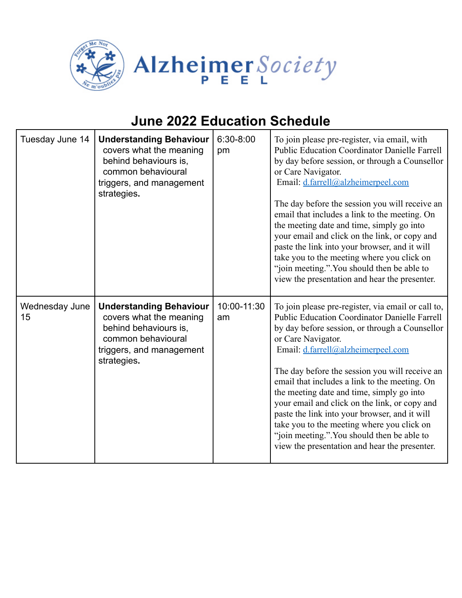

| Tuesday June 14      | <b>Understanding Behaviour</b><br>covers what the meaning<br>behind behaviours is,<br>common behavioural<br>triggers, and management<br>strategies. | 6:30-8:00<br>pm   | To join please pre-register, via email, with<br><b>Public Education Coordinator Danielle Farrell</b><br>by day before session, or through a Counsellor<br>or Care Navigator.<br>Email: d.farrell@alzheimerpeel.com<br>The day before the session you will receive an<br>email that includes a link to the meeting. On<br>the meeting date and time, simply go into<br>your email and click on the link, or copy and<br>paste the link into your browser, and it will<br>take you to the meeting where you click on<br>"join meeting.". You should then be able to<br>view the presentation and hear the presenter.       |
|----------------------|-----------------------------------------------------------------------------------------------------------------------------------------------------|-------------------|--------------------------------------------------------------------------------------------------------------------------------------------------------------------------------------------------------------------------------------------------------------------------------------------------------------------------------------------------------------------------------------------------------------------------------------------------------------------------------------------------------------------------------------------------------------------------------------------------------------------------|
| Wednesday June<br>15 | <b>Understanding Behaviour</b><br>covers what the meaning<br>behind behaviours is,<br>common behavioural<br>triggers, and management<br>strategies. | 10:00-11:30<br>am | To join please pre-register, via email or call to,<br><b>Public Education Coordinator Danielle Farrell</b><br>by day before session, or through a Counsellor<br>or Care Navigator.<br>Email: d.farrell@alzheimerpeel.com<br>The day before the session you will receive an<br>email that includes a link to the meeting. On<br>the meeting date and time, simply go into<br>your email and click on the link, or copy and<br>paste the link into your browser, and it will<br>take you to the meeting where you click on<br>"join meeting.". You should then be able to<br>view the presentation and hear the presenter. |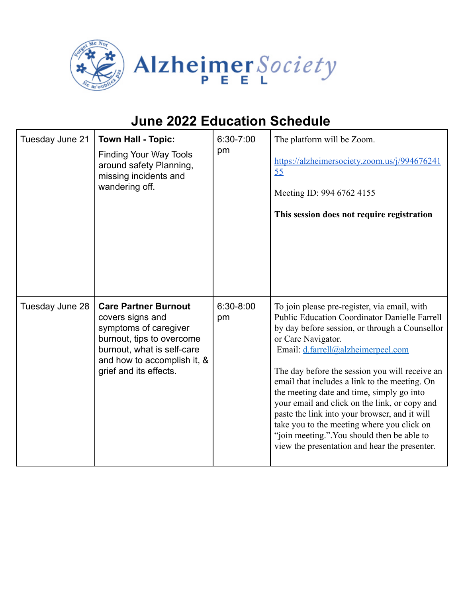

| Tuesday June 21 | <b>Town Hall - Topic:</b><br><b>Finding Your Way Tools</b><br>around safety Planning,<br>missing incidents and<br>wandering off.                                                             | 6:30-7:00<br>pm | The platform will be Zoom.<br>https://alzheimersociety.zoom.us/j/994676241<br>55<br>Meeting ID: 994 6762 4155<br>This session does not require registration                                                                                                                                                                                                                                                                                                                                                                                                                                                        |
|-----------------|----------------------------------------------------------------------------------------------------------------------------------------------------------------------------------------------|-----------------|--------------------------------------------------------------------------------------------------------------------------------------------------------------------------------------------------------------------------------------------------------------------------------------------------------------------------------------------------------------------------------------------------------------------------------------------------------------------------------------------------------------------------------------------------------------------------------------------------------------------|
| Tuesday June 28 | <b>Care Partner Burnout</b><br>covers signs and<br>symptoms of caregiver<br>burnout, tips to overcome<br>burnout, what is self-care<br>and how to accomplish it, &<br>grief and its effects. | 6:30-8:00<br>pm | To join please pre-register, via email, with<br><b>Public Education Coordinator Danielle Farrell</b><br>by day before session, or through a Counsellor<br>or Care Navigator.<br>Email: d.farrell@alzheimerpeel.com<br>The day before the session you will receive an<br>email that includes a link to the meeting. On<br>the meeting date and time, simply go into<br>your email and click on the link, or copy and<br>paste the link into your browser, and it will<br>take you to the meeting where you click on<br>"join meeting.". You should then be able to<br>view the presentation and hear the presenter. |